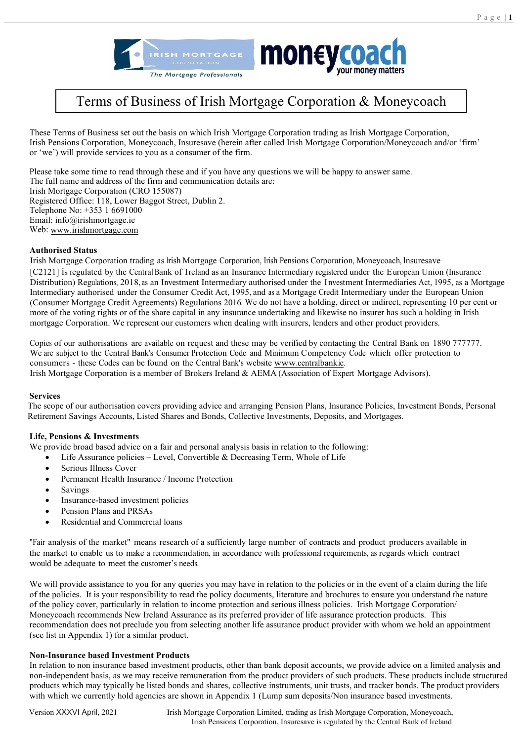



# Terms of Business of Irish Mortgage Corporation & Moneycoach

These Terms of Business set out the basis on which Irish Mortgage Corporation trading as Irish Mortgage Corporation, Irish Pensions Corporation, Moneycoach, Insuresave (herein after called Irish Mortgage Corporation/Moneycoach and/or 'firm' or 'we') will provide services to you as a consumer of the firm.

Please take some time to read through these and if you have any questions we will be happy to answer same. The full name and address of the firm and communication details are: Irish Mortgage Corporation (CRO 155087) Registered Office: 118, Lower Baggot Street, Dublin 2. Telephone No: +353 1 6691000 Email[: info@irishmortgage.ie](mailto:info@irishmortgage.ie) Web[: www.irishmortgage.com](http://www.irishmortgage.com/)

### **Authorised Status**

Irish Mortgage Corporation trading as Irish Mortgage Corporation, Irish Pensions Corporation, Moneycoach, lnsuresave [C2121] is regulated by the Central Bank of Ireland as an Insurance Intermediary registered under the European Union (Insurance Distribution) Regulations, 2018, as an Investment Intermediary authorised under the I nvestment Intermediaries Act, 1995, as a Mortgage Intermediary authorised under the Consumer Credit Act, 1995, and as a Mortgage Credit Intermediary under the European Union (Consumer Mortgage Credit Agreements) Regulations 2016. We do not have a holding, direct or indirect, representing 10 per cent or more of the voting rights or of the share capital in any insurance undertaking and likewise no insurer has such a holding in Irish mortgage Corporation. We represent our customers when dealing with insurers, lenders and other product providers.

Copies of our authorisations are available on request and these may be verified by contacting the Central Bank on 1890 777777. We are subject to the Central Bank's Consumer Protection Code and Minimum Competency Code which offer protection to consumers - these Codes can be found on the Central Bank's website [www.centralbank.ie.](http://www.centralbank.ie/) Irish Mortgage Corporation is a member of Brokers Ireland & AEMA (Association of Expert Mortgage Advisors).

#### **Services**

The scope of our authorisation covers providing advice and arranging Pension Plans, Insurance Policies, Investment Bonds, Personal Retirement Savings Accounts, Listed Shares and Bonds, Collective Investments, Deposits, and Mortgages.

## **Life, Pensions & Investments**

We provide broad based advice on a fair and personal analysis basis in relation to the following:

- Life Assurance policies Level, Convertible & Decreasing Term, Whole of Life
- Serious Illness Cover
- Permanent Health Insurance / Income Protection
- **Savings**
- Insurance-based investment policies
- Pension Plans and PRSAs
- Residential and Commercial loans

"Fair analysis of the market" means research of a sufficiently large number of contracts and product producers available in the market to enable us to make a recommendation, in accordance with professional requirements, as regards which contract would be adequate to meet the customer's needs.

We will provide assistance to you for any queries you may have in relation to the policies or in the event of a claim during the life of the policies. It is your responsibility to read the policy documents, literature and brochures to ensure you understand the nature of the policy cover, particularly in relation to income protection and serious illness policies. Irish Mortgage Corporation/ Moneycoach recommends New Ireland Assurance as its preferred provider of life assurance protection products. This recommendation does not preclude you from selecting another life assurance product provider with whom we hold an appointment (see list in Appendix 1) for a similar product.

#### **Non-Insurance based Investment Products**

In relation to non insurance based investment products, other than bank deposit accounts, we provide advice on a limited analysis and non-independent basis, as we may receive remuneration from the product providers of such products. These products include structured products which may typically be listed bonds and shares, collective instruments, unit trusts, and tracker bonds. The product providers with which we currently hold agencies are shown in Appendix 1 (Lump sum deposits/Non insurance based investments.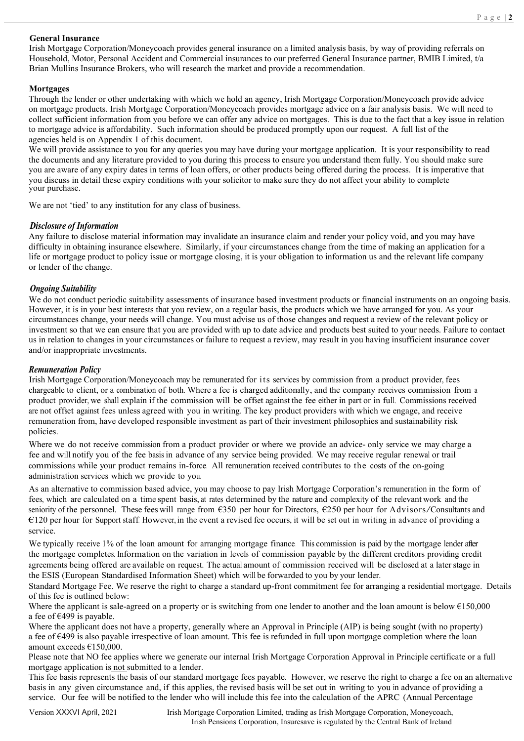#### **General Insurance**

Irish Mortgage Corporation/Moneycoach provides general insurance on a limited analysis basis, by way of providing referrals on Household, Motor, Personal Accident and Commercial insurances to our preferred General Insurance partner, BMIB Limited, t/a Brian Mullins Insurance Brokers, who will research the market and provide a recommendation.

#### **Mortgages**

Through the lender or other undertaking with which we hold an agency, Irish Mortgage Corporation/Moneycoach provide advice on mortgage products. Irish Mortgage Corporation/Moneycoach provides mortgage advice on a fair analysis basis. We will need to collect sufficient information from you before we can offer any advice on mortgages. This is due to the fact that a key issue in relation to mortgage advice is affordability. Such information should be produced promptly upon our request. A full list of the agencies held is on Appendix 1 of this document.

We will provide assistance to you for any queries you may have during your mortgage application. It is your responsibility to read the documents and any literature provided to you during this process to ensure you understand them fully. You should make sure you are aware of any expiry dates in terms of loan offers, or other products being offered during the process. It is imperative that you discuss in detail these expiry conditions with your solicitor to make sure they do not affect your ability to complete your purchase.

We are not 'tied' to any institution for any class of business.

#### *Disclosure of Information*

Any failure to disclose material information may invalidate an insurance claim and render your policy void, and you may have difficulty in obtaining insurance elsewhere. Similarly, if your circumstances change from the time of making an application for a life or mortgage product to policy issue or mortgage closing, it is your obligation to information us and the relevant life company or lender of the change.

#### *Ongoing Suitability*

We do not conduct periodic suitability assessments of insurance based investment products or financial instruments on an ongoing basis. However, it is in your best interests that you review, on a regular basis, the products which we have arranged for you. As your circumstances change, your needs will change. You must advise us of those changes and request a review of the relevant policy or investment so that we can ensure that you are provided with up to date advice and products best suited to your needs. Failure to contact us in relation to changes in your circumstances or failure to request a review, may result in you having insufficient insurance cover and/or inappropriate investments.

#### *Remuneration Policy*

Irish Mortgage Corporation/Moneycoach may be remunerated for its services by commission from a product provider, fees chargeable to client, or a combination of both. Where a fee is charged additionally, and the company receives commission from a product provider, we shall explain if the commission will be offset against the fee either in part or in full. Commissions received are not offset against fees unless agreed with you in writing. The key product providers with which we engage, and receive remuneration from, have developed responsible investment as part of their investment philosophies and sustainability risk policies.

Where we do not receive commission from a product provider or where we provide an advice- only service we may charge a fee and will notify you of the fee basis in advance of any service being provided. We may receive regular renewal or trail commissions while your product remains in-force. All remuneration received contributes to the costs of the on-going administration services which we provide to you.

As an alternative to commission based advice, you may choose to pay Irish Mortgage Corporation's remuneration in the form of fees, which are calculated on a time spent basis, at rates determined by the nature and complexity of the relevant work and the seniority of the personnel. These fees will range from €350 per hour for Directors, €250 per hour for Advisors/Consultants and €120 per hour for Support staff. However, in the event a revised fee occurs, it will be set out in writing in advance of providing a service.

We typically receive 1% of the loan amount for arranging mortgage finance. This commission is paid by the mortgage lender after the mortgage completes. Information on the variation in levels of commission payable by the different creditors providing credit agreements being offered are available on request. The actual amount of commission received will be disclosed at a laterstage in the ESIS (European Standardised Information Sheet) which will be forwarded to you by your lender.

Standard Mortgage Fee. We reserve the right to charge a standard up-front commitment fee for arranging a residential mortgage. Details of this fee is outlined below:

Where the applicant is sale-agreed on a property or is switching from one lender to another and the loan amount is below €150,000 a fee of  $\epsilon$ 499 is payable.

Where the applicant does not have a property, generally where an Approval in Principle (AIP) is being sought (with no property) a fee of €499 is also payable irrespective of loan amount. This fee is refunded in full upon mortgage completion where the loan amount exceeds €150,000.

Please note that NO fee applies where we generate our internal Irish Mortgage Corporation Approval in Principle certificate or a full mortgage application is not submitted to a lender.

This fee basis represents the basis of our standard mortgage fees payable. However, we reserve the right to charge a fee on an alternative basis in any given circumstance and, if this applies, the revised basis will be set out in writing to you in advance of providing a service. Our fee will be notified to the lender who will include this fee into the calculation of the APRC (Annual Percentage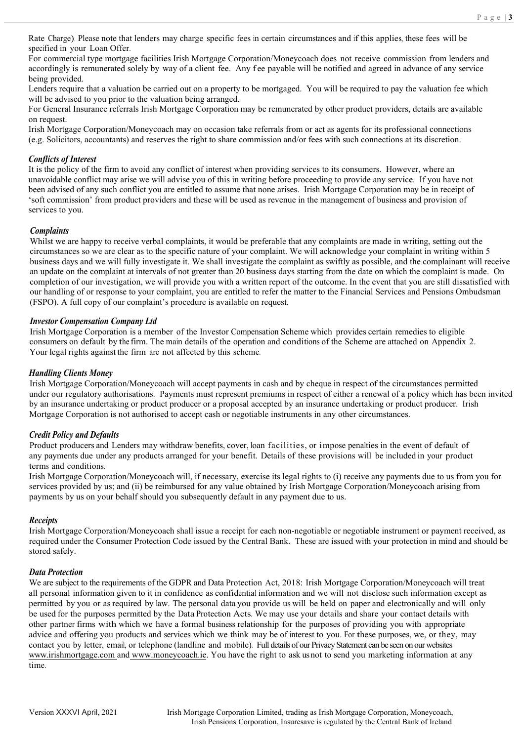Rate Charge). Please note that lenders may charge specific fees in certain circumstances and if this applies, these fees will be specified in your Loan Offer.

For commercial type mortgage facilities Irish Mortgage Corporation/Moneycoach does not receive commission from lenders and accordingly is remunerated solely by way of a client fee. Any fee payable will be notified and agreed in advance of any service being provided.

Lenders require that a valuation be carried out on a property to be mortgaged. You will be required to pay the valuation fee which will be advised to you prior to the valuation being arranged.

For General Insurance referrals Irish Mortgage Corporation may be remunerated by other product providers, details are available on request.

Irish Mortgage Corporation/Moneycoach may on occasion take referrals from or act as agents for its professional connections (e.g. Solicitors, accountants) and reserves the right to share commission and/or fees with such connections at its discretion.

## *Conflicts of Interest*

It is the policy of the firm to avoid any conflict of interest when providing services to its consumers. However, where an unavoidable conflict may arise we will advise you of this in writing before proceeding to provide any service. If you have not been advised of any such conflict you are entitled to assume that none arises. Irish Mortgage Corporation may be in receipt of 'soft commission' from product providers and these will be used as revenue in the management of business and provision of services to you.

## *Complaints*

Whilst we are happy to receive verbal complaints, it would be preferable that any complaints are made in writing, setting out the circumstances so we are clear as to the specific nature of your complaint. We will acknowledge your complaint in writing within 5 business days and we will fully investigate it. We shall investigate the complaint as swiftly as possible, and the complainant will receive an update on the complaint at intervals of not greater than 20 business days starting from the date on which the complaint is made. On completion of our investigation, we will provide you with a written report of the outcome. In the event that you are still dissatisfied with our handling of or response to your complaint, you are entitled to refer the matter to the Financial Services and Pensions Ombudsman (FSPO). A full copy of our complaint's procedure is available on request.

### *Investor Compensation Company Ltd*

Irish Mortgage Corporation is a member of the Investor Compensation Scheme which provides certain remedies to eligible consumers on default by the firm. The main details of the operation and conditions of the Scheme are attached on Appendix 2. Your legal rights against the firm are not affected by this scheme.

## *Handling Clients Money*

 Irish Mortgage Corporation/Moneycoach will accept payments in cash and by cheque in respect of the circumstances permitted under our regulatory authorisations. Payments must represent premiums in respect of either a renewal of a policy which has been invited by an insurance undertaking or product producer or a proposal accepted by an insurance undertaking or product producer. Irish Mortgage Corporation is not authorised to accept cash or negotiable instruments in any other circumstances.

## *Credit Policy and Defaults*

Product producers and Lenders may withdraw benefits, cover, loan facilities, or impose penalties in the event of default of any payments due under any products arranged for your benefit. Details of these provisions will be included in your product terms and conditions.

Irish Mortgage Corporation/Moneycoach will, if necessary, exercise its legal rights to (i) receive any payments due to us from you for services provided by us; and (ii) be reimbursed for any value obtained by Irish Mortgage Corporation/Moneycoach arising from payments by us on your behalf should you subsequently default in any payment due to us.

## *Receipts*

Irish Mortgage Corporation/Moneycoach shall issue a receipt for each non-negotiable or negotiable instrument or payment received, as required under the Consumer Protection Code issued by the Central Bank. These are issued with your protection in mind and should be stored safely.

#### *Data Protection*

We are subject to the requirements of the GDPR and Data Protection Act, 2018: Irish Mortgage Corporation/Moneycoach will treat all personal information given to it in confidence as confidential information and we will not disclose such information except as permitted by you or as required by law. The personal data you provide us will be held on paper and electronically and will only be used for the purposes permitted by the Data Protection Acts. We may use your details and share your contact details with other partner firms with which we have a formal business relationship for the purposes of providing you with appropriate advice and offering you products and services which we think may be of interest to you. For these purposes, we, or they, may contact you by letter, email, or telephone (landline and mobile). Full details of our Privacy Statement can be seen on our websites [www.irishmortgage.com](http://www.irishmortgage.com/) and www.moneycoach.ie. You have the right to ask us not to send you marketing information at any time.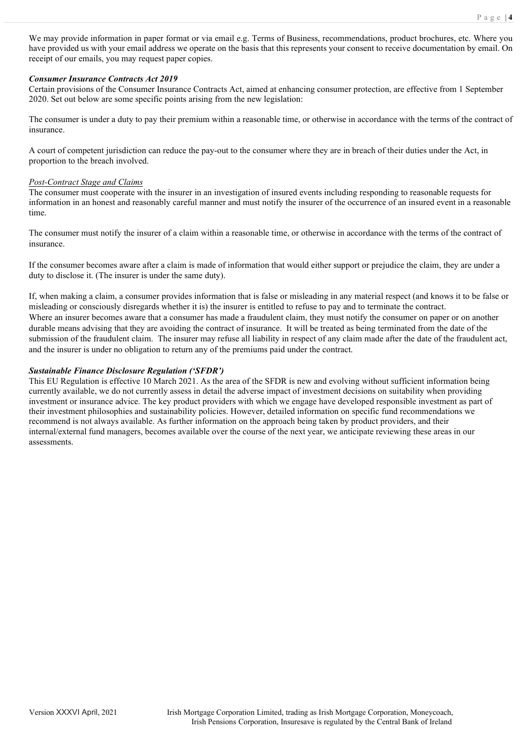We may provide information in paper format or via email e.g. Terms of Business, recommendations, product brochures, etc. Where you have provided us with your email address we operate on the basis that this represents your consent to receive documentation by email. On receipt of our emails, you may request paper copies.

#### *Consumer Insurance Contracts Act 2019*

Certain provisions of the Consumer Insurance Contracts Act, aimed at enhancing consumer protection, are effective from 1 September 2020. Set out below are some specific points arising from the new legislation:

The consumer is under a duty to pay their premium within a reasonable time, or otherwise in accordance with the terms of the contract of insurance.

A court of competent jurisdiction can reduce the pay-out to the consumer where they are in breach of their duties under the Act, in proportion to the breach involved.

#### *Post-Contract Stage and Claims*

The consumer must cooperate with the insurer in an investigation of insured events including responding to reasonable requests for information in an honest and reasonably careful manner and must notify the insurer of the occurrence of an insured event in a reasonable time.

The consumer must notify the insurer of a claim within a reasonable time, or otherwise in accordance with the terms of the contract of insurance.

If the consumer becomes aware after a claim is made of information that would either support or prejudice the claim, they are under a duty to disclose it. (The insurer is under the same duty).

If, when making a claim, a consumer provides information that is false or misleading in any material respect (and knows it to be false or misleading or consciously disregards whether it is) the insurer is entitled to refuse to pay and to terminate the contract. Where an insurer becomes aware that a consumer has made a fraudulent claim, they must notify the consumer on paper or on another durable means advising that they are avoiding the contract of insurance. It will be treated as being terminated from the date of the submission of the fraudulent claim. The insurer may refuse all liability in respect of any claim made after the date of the fraudulent act, and the insurer is under no obligation to return any of the premiums paid under the contract.

#### *Sustainable Finance Disclosure Regulation ('SFDR')*

This EU Regulation is effective 10 March 2021. As the area of the SFDR is new and evolving without sufficient information being currently available, we do not currently assess in detail the adverse impact of investment decisions on suitability when providing investment or insurance advice. The key product providers with which we engage have developed responsible investment as part of their investment philosophies and sustainability policies. However, detailed information on specific fund recommendations we recommend is not always available. As further information on the approach being taken by product providers, and their internal/external fund managers, becomes available over the course of the next year, we anticipate reviewing these areas in our assessments.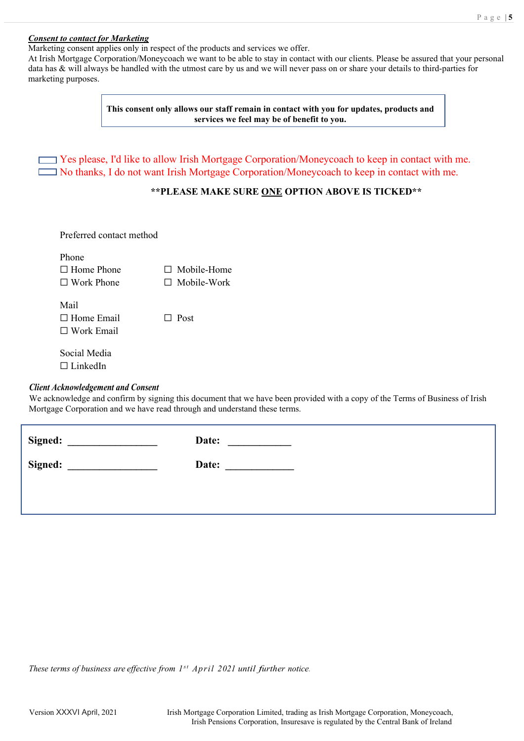#### *Consent to contact for Marketing*

Marketing consent applies only in respect of the products and services we offer.

At Irish Mortgage Corporation/Moneycoach we want to be able to stay in contact with our clients. Please be assured that your personal data has & will always be handled with the utmost care by us and we will never pass on or share your details to third-parties for marketing purposes.

> **This consent only allows our staff remain in contact with you for updates, products and services we feel may be of benefit to you.**

 $\Box$  Yes please, I'd like to allow Irish Mortgage Corporation/Moneycoach to keep in contact with me. No thanks, I do not want Irish Mortgage Corporation/Moneycoach to keep in contact with me.

## **\*\*PLEASE MAKE SURE ONE OPTION ABOVE IS TICKED\*\***

Preferred contact method

| $\Box$ Mobile-Home |
|--------------------|
| $\Box$ Mobile-Work |
|                    |

Mail ☐ Home Email ☐ Post ☐ Work Email

Social Media □ LinkedIn

## *Client Acknowledgement and Consent*

We acknowledge and confirm by signing this document that we have been provided with a copy of the Terms of Business of Irish Mortgage Corporation and we have read through and understand these terms.

| Signed: | Date: |
|---------|-------|
| Signed: | Date: |
|         |       |

*These terms of business are effective from 1s t April 2021 until further notice.*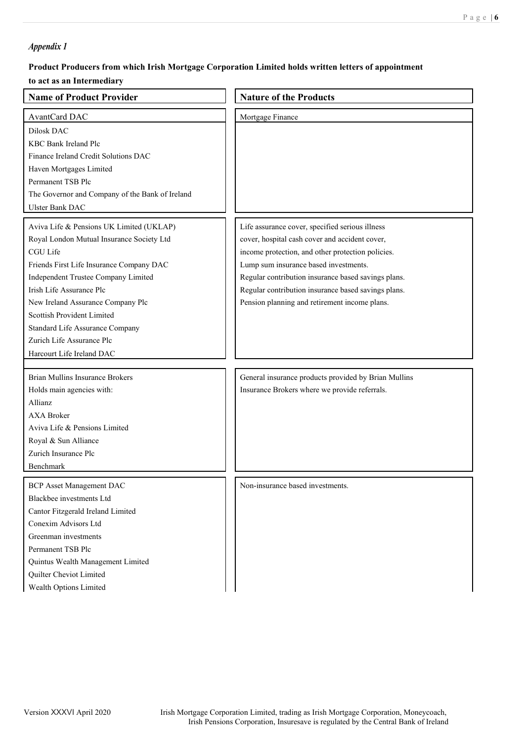## *Appendix 1*

## **Product Producers from which Irish Mortgage Corporation Limited holds written letters of appointment**

## **to act as an Intermediary**

| <b>Name of Product Provider</b>                                                                                                                                                                                                                                                                                                                                                  | <b>Nature of the Products</b>                                                                                                                                                                                                                                                                                                                                  |
|----------------------------------------------------------------------------------------------------------------------------------------------------------------------------------------------------------------------------------------------------------------------------------------------------------------------------------------------------------------------------------|----------------------------------------------------------------------------------------------------------------------------------------------------------------------------------------------------------------------------------------------------------------------------------------------------------------------------------------------------------------|
| AvantCard DAC<br>Dilosk DAC<br>KBC Bank Ireland Plc<br>Finance Ireland Credit Solutions DAC<br>Haven Mortgages Limited<br>Permanent TSB Plc<br>The Governor and Company of the Bank of Ireland<br><b>Ulster Bank DAC</b>                                                                                                                                                         | Mortgage Finance                                                                                                                                                                                                                                                                                                                                               |
| Aviva Life & Pensions UK Limited (UKLAP)<br>Royal London Mutual Insurance Society Ltd<br>CGU Life<br>Friends First Life Insurance Company DAC<br>Independent Trustee Company Limited<br>Irish Life Assurance Plc<br>New Ireland Assurance Company Plc<br>Scottish Provident Limited<br>Standard Life Assurance Company<br>Zurich Life Assurance Plc<br>Harcourt Life Ireland DAC | Life assurance cover, specified serious illness<br>cover, hospital cash cover and accident cover,<br>income protection, and other protection policies.<br>Lump sum insurance based investments.<br>Regular contribution insurance based savings plans.<br>Regular contribution insurance based savings plans.<br>Pension planning and retirement income plans. |
| Brian Mullins Insurance Brokers<br>Holds main agencies with:<br>Allianz<br><b>AXA Broker</b><br>Aviva Life & Pensions Limited<br>Royal & Sun Alliance<br>Zurich Insurance Plc<br>Benchmark                                                                                                                                                                                       | General insurance products provided by Brian Mullins<br>Insurance Brokers where we provide referrals.                                                                                                                                                                                                                                                          |
| <b>BCP</b> Asset Management DAC<br>Blackbee investments Ltd<br>Cantor Fitzgerald Ireland Limited<br>Conexim Advisors Ltd<br>Greenman investments<br>Permanent TSB Plc<br>Quintus Wealth Management Limited<br>Quilter Cheviot Limited<br>Wealth Options Limited                                                                                                                  | Non-insurance based investments.                                                                                                                                                                                                                                                                                                                               |